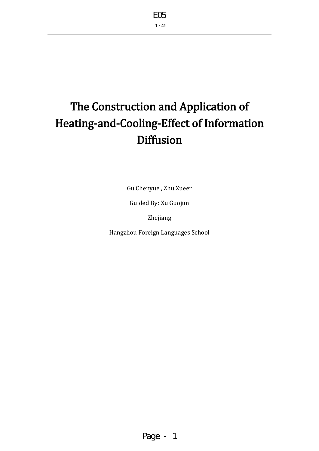# The Construction and Application of Heating-and-Cooling-Effect of Information **Diffusion**

Gu Chenyue , Zhu Xueer

Guided By: Xu Guojun

Zhejiang

Hangzhou Foreign Languages School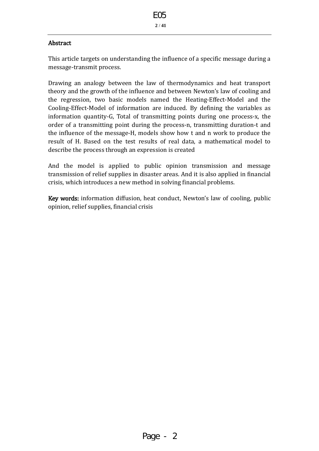#### **Abstract**

This article targets on understanding the influence of a specific message during a message-transmit process.

Drawing an analogy between the law of thermodynamics and heat transport theory and the growth of the influence and between Newton's law of cooling and the regression, two basic models named the Heating-Effect-Model and the Cooling-Effect-Model of information are induced. By defining the variables as information quantity-G, Total of transmitting points during one process-x, the order of a transmitting point during the process-n, transmitting duration-t and the influence of the message-H, models show how t and n work to produce the result of H. Based on the test results of real data, a mathematical model to describe the process through an expression is created

And the model is applied to public opinion transmission and message transmission of relief supplies in disaster areas. And it is also applied in financial crisis, which introduces a new method in solving financial problems.

Key words: information diffusion, heat conduct, Newton's law of cooling, public opinion, relief supplies, financial crisis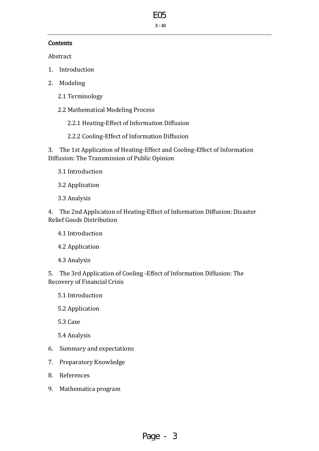# E05

**3** / **41**

#### **Contents**

Abstract

- 1. Introduction
- 2. Modeling
	- 2.1 Terminology
	- 2.2 Mathematical Modeling Process

2.2.1 Heating-Effect of Information Diffusion

2.2.2 Cooling-Effect of Information Diffusion

3. The 1st Application of Heating-Effect and Cooling-Effect of Information Diffusion: The Transmission of Public Opinion

- 3.1 Introduction
- 3.2 Application
- 3.3 Analysis

4. The 2nd Application of Heating-Effect of Information Diffusion: Disaster Relief Goods Distribution

- 4.1 Introduction
- 4.2 Application
- 4.3 Analysis

5. The 3rd Application of Cooling -Effect of Information Diffusion: The Recovery of Financial Crisis

5.1 Introduction

5.2 Application

5.3 Case

- 5.4 Analysis
- 6. Summary and expectations
- 7. Preparatory Knowledge
- 8. References
- 9. Mathematica program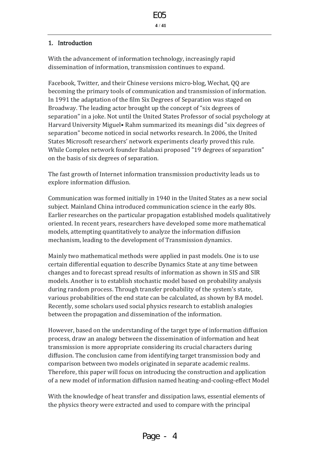#### 1. Introduction

With the advancement of information technology, increasingly rapid dissemination of information, transmission continues to expand.

Facebook, Twitter, and their Chinese versions micro-blog, Wechat, QQ are becoming the primary tools of communication and transmission of information. In 1991 the adaptation of the film Six Degrees of Separation was staged on Broadway. The leading actor brought up the concept of "six degrees of separation" in a joke. Not until the United States Professor of social psychology at Harvard University Miguel• Rahm summarized its meanings did "six degrees of separation" become noticed in social networks research. In 2006, the United States Microsoft researchers' network experiments clearly proved this rule. While Complex network founder Balabaxi proposed "19 degrees of separation" on the basis of six degrees of separation.

The fast growth of Internet information transmission productivity leads us to explore information diffusion.

Communication was formed initially in 1940 in the United States as a new social subject. Mainland China introduced communication science in the early 80s. Earlier researches on the particular propagation established models qualitatively oriented. In recent years, researchers have developed some more mathematical models, attempting quantitatively to analyze the information diffusion mechanism, leading to the development of Transmission dynamics.

Mainly two mathematical methods were applied in past models. One is to use certain differential equation to describe Dynamics State at any time between changes and to forecast spread results of information as shown in SIS and SIR models. Another is to establish stochastic model based on probability analysis during random process. Through transfer probability of the system's state, various probabilities of the end state can be calculated, as shown by BA model. Recently, some scholars used social physics research to establish analogies between the propagation and dissemination of the information.

However, based on the understanding of the target type of information diffusion process, draw an analogy between the dissemination of information and heat transmission is more appropriate considering its crucial characters during diffusion. The conclusion came from identifying target transmission body and comparison between two models originated in separate academic realms. Therefore, this paper will focus on introducing the construction and application of a new model of information diffusion named heating-and-cooling-effect Model

With the knowledge of heat transfer and dissipation laws, essential elements of the physics theory were extracted and used to compare with the principal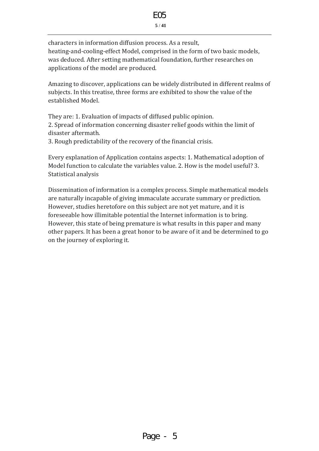#### **5** / **41**

characters in information diffusion process. As a result, heating-and-cooling-effect Model, comprised in the form of two basic models, was deduced. After setting mathematical foundation, further researches on applications of the model are produced.

Amazing to discover, applications can be widely distributed in different realms of subjects. In this treatise, three forms are exhibited to show the value of the established Model.

They are: 1. Evaluation of impacts of diffused public opinion. 2. Spread of information concerning disaster relief goods within the limit of disaster aftermath.

3. Rough predictability of the recovery of the financial crisis.

Every explanation of Application contains aspects: 1. Mathematical adoption of Model function to calculate the variables value. 2. How is the model useful? 3. Statistical analysis

Dissemination of information is a complex process. Simple mathematical models are naturally incapable of giving immaculate accurate summary or prediction. However, studies heretofore on this subject are not yet mature, and it is foreseeable how illimitable potential the Internet information is to bring. However, this state of being premature is what results in this paper and many other papers. It has been a great honor to be aware of it and be determined to go on the journey of exploring it.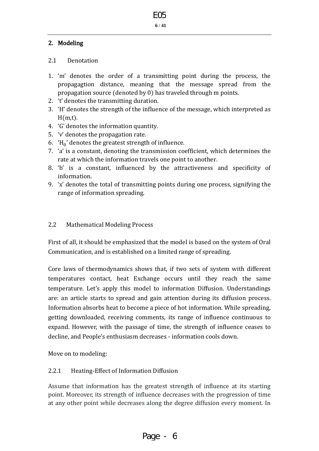#### 2. Modeling

#### 2.1 Denotation

- 1. 'm' denotes the order of a transmitting point during the process, the propagagtion distance, meaning that the message spread from the propagation source (denoted by 0) has traveled through m points.
- 2. 't' denotes the transmitting duration.
- 3. 'H' denotes the strength of the influence of the message, which interpreted as  $H(m.t)$ .
- 4. 'G' denotes the information quantity.
- 5. 'v' denotes the propagation rate.
- 6.  $H_0'$  denotes the greatest strength of influence.
- 7. 'a' is a constant, denoting the transmission coefficient, which determines the rate at which the information travels one point to another.
- 8. 'b' is a constant, influenced by the attractiveness and specificity of information.
- 9. 'x' denotes the total of transmitting points during one process, signifying the range of information spreading.

#### 2.2 Mathematical Modeling Process

First of all, it should be emphasized that the model is based on the system of Oral Communication, and is established on a limited range of spreading.

Core laws of thermodynamics shows that, if two sets of system with different temperatures contact, heat Exchange occurs until they reach the same temperature. Let's apply this model to information Diffusion. Understandings are: an article starts to spread and gain attention during its diffusion process. Information absorbs heat to become a piece of hot information. While spreading, getting downloaded, receiving comments, its range of influence continuous to expand. However, with the passage of time, the strength of influence ceases to decline, and People's enthusiasm decreases - information cools down.

Move on to modeling:

## 2.2.1 Heating-Effect of Information Diffusion

Assume that information has the greatest strength of influence at its starting point. Moreover, its strength of influence decreases with the progression of time at any other point while decreases along the degree diffusion every moment. In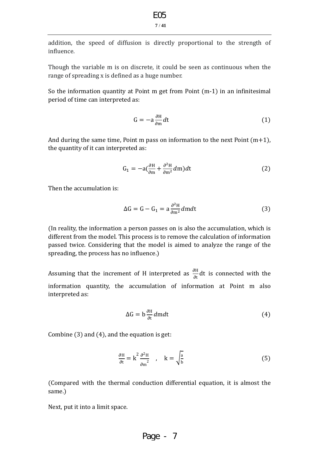addition, the speed of diffusion is directly proportional to the strength of influence.

Though the variable m is on discrete, it could be seen as continuous when the range of spreading x is defined as a huge number.

So the information quantity at Point m get from Point (m-1) in an infinitesimal period of time can interpreted as:

$$
G = -a \frac{\partial H}{\partial m} dt \tag{1}
$$

And during the same time, Point m pass on information to the next Point  $(m+1)$ , the quantity of it can interpreted as:

$$
G_1 = -a\left(\frac{\partial H}{\partial m} + \frac{\partial^2 H}{\partial m^2}dm\right)dt\tag{2}
$$

Then the accumulation is:

$$
\Delta G = G - G_1 = a \frac{\partial^2 H}{\partial m^2} dm dt \tag{3}
$$

(In reality, the information a person passes on is also the accumulation, which is different from the model. This process is to remove the calculation of information passed twice. Considering that the model is aimed to analyze the range of the spreading, the process has no influence.)

Assuming that the increment of H interpreted as  $\frac{\partial H}{\partial x}$  $\frac{\partial \Pi}{\partial t}$ dt is connected with the information quantity, the accumulation of information at Point m also interpreted as:

$$
\Delta G = b \frac{\partial H}{\partial t} dm dt \tag{4}
$$

Combine (3) and (4), and the equation is get:

$$
\frac{\partial \mathbf{H}}{\partial \mathbf{t}} = \mathbf{k}^2 \frac{\partial^2 \mathbf{H}}{\partial \mathbf{m}^2} , \quad \mathbf{k} = \sqrt{\frac{\mathbf{a}}{\mathbf{b}}} \tag{5}
$$

(Compared with the thermal conduction differential equation, it is almost the same.)

Next, put it into a limit space.

Page 
$$
-7
$$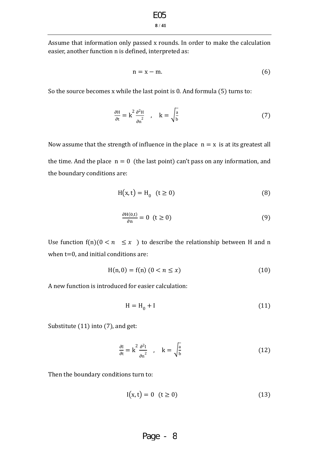Assume that information only passed x rounds. In order to make the calculation easier, another function n is defined, interpreted as:

$$
n = x - m.\t\t(6)
$$

So the source becomes x while the last point is 0. And formula (5) turns to:

$$
\frac{\partial H}{\partial t} = k^2 \frac{\partial^2 H}{\partial n^2} \quad , \quad k = \sqrt{\frac{a}{b}} \tag{7}
$$

Now assume that the strength of influence in the place  $n = x$  is at its greatest all the time. And the place  $n = 0$  (the last point) can't pass on any information, and the boundary conditions are:

$$
H(x,t) = H_0 \quad (t \ge 0)
$$
\n<sup>(8)</sup>

$$
\frac{\partial H(0,t)}{\partial n} = 0 \quad (t \ge 0)
$$
\n(9)

Use function  $f(n)(0 \lt n \leq x)$  to describe the relationship between H and n when  $t=0$ , and initial conditions are:

$$
H(n,0) = f(n) (0 < n \le x)
$$
\n(10)

A new function is introduced for easier calculation:

$$
H = H_0 + I \tag{11}
$$

Substitute (11) into (7), and get:

$$
\frac{\partial I}{\partial t} = k^2 \frac{\partial^2 I}{\partial n^2} , \quad k = \sqrt{\frac{a}{b}}
$$
 (12)

Then the boundary conditions turn to:

$$
I(x,t) = 0 \quad (t \ge 0)
$$
\n
$$
(13)
$$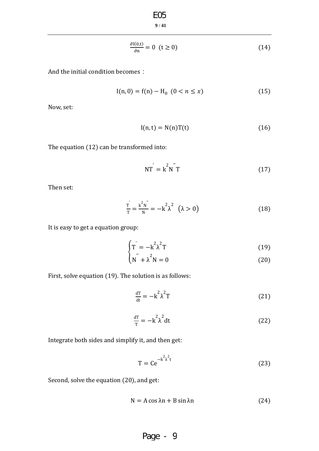$$
\underset{9/41}{\text{EO5}}
$$

$$
\frac{\partial I(0,t)}{\partial n} = 0 \quad (t \ge 0)
$$
\n(14)

And the initial condition becomes:

$$
I(n, 0) = f(n) - H_0 \ (0 < n \le x) \tag{15}
$$

Now, set:

$$
I(n,t) = N(n)T(t)
$$
\n(16)

The equation (12) can be transformed into:

$$
NT = k^2 N^{\prime} T \tag{17}
$$

Then set:

$$
\frac{T}{T} = \frac{k^2 N^{"}}{N} = -k^2 \lambda^2 \quad (\lambda > 0)
$$
\n(18)

It is easy to get a equation group:

$$
\begin{cases}\n\Gamma = -k^2 \lambda^2 T \\
\mu = 2\n\end{cases}
$$
\n(19)

$$
\left(N^{''} + \lambda^{2} N = 0\right) \tag{20}
$$

First, solve equation (19). The solution is as follows:

$$
\frac{d\mathbf{T}}{dt} = -\mathbf{k}^2 \lambda^2 \mathbf{T} \tag{21}
$$

$$
\frac{d\mathbf{T}}{\mathbf{T}} = -\mathbf{k}^2 \lambda^2 dt \tag{22}
$$

Integrate both sides and simplify it, and then get:

$$
T = Ce^{-k^2\lambda^2 t}
$$
 (23)

Second, solve the equation (20), and get:

$$
N = A \cos \lambda n + B \sin \lambda n \tag{24}
$$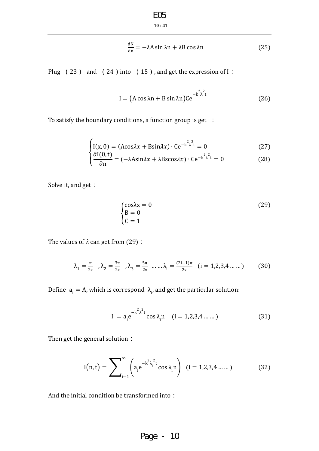$$
\underset{10\,/\,41}{\text{EO5}}
$$

$$
\frac{dN}{dn} = -\lambda A \sin \lambda n + \lambda B \cos \lambda n \tag{25}
$$

Plug (23) and (24) into (15), and get the expression of I:

$$
I = (A \cos \lambda n + B \sin \lambda n)Ce^{-k^2 \lambda^2 t}
$$
 (26)

To satisfy the boundary conditions, a function group is get :

$$
\int I(x,0) = (A\cos\lambda x + B\sin\lambda x) \cdot Ce^{-k^2\lambda^2 t} = 0
$$
\n(27)

$$
\begin{cases} \frac{\partial I(0,t)}{\partial n} = (-\lambda A \sin \lambda x + \lambda B \sin \lambda x) \cdot C e^{-k^2 \lambda^2 t} = 0 \end{cases}
$$
 (28)

Solve it, and get:

$$
\begin{cases}\n\cos\lambda x = 0\\
B = 0\\
C = 1\n\end{cases}
$$
\n(29)

The values of  $\lambda$  can get from (29):

$$
\lambda_1 = \frac{\pi}{2x}, \lambda_2 = \frac{3\pi}{2x}, \lambda_3 = \frac{5\pi}{2x} \dots \dots \lambda_i = \frac{(2i-1)\pi}{2x} \quad (i = 1, 2, 3, 4 \dots \dots)
$$
 (30)

Define  $a_i = A$ , which is correspond  $\lambda_i$ , and get the particular solution:

$$
I_{i} = a_{i} e^{-k^{2} \lambda^{2} t} \cos \lambda_{i} n \quad (i = 1, 2, 3, 4 \dots ...)
$$
 (31)

Then get the general solution:

$$
I(n,t) = \sum_{i=1}^{\infty} \left( a_i e^{-k^2 \lambda_i^2 t} \cos \lambda_i n \right) \quad (i = 1, 2, 3, 4 \dots ...)
$$
 (32)

And the initial condition be transformed into: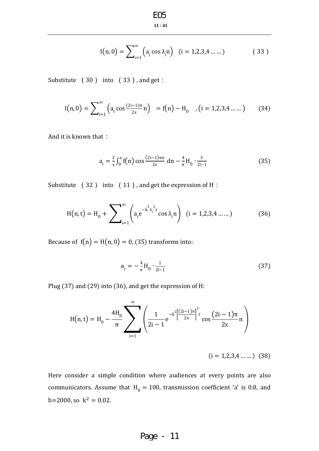$$
I(n,0) = \sum_{i=1}^{\infty} (a_i \cos \lambda_i n) \quad (i = 1,2,3,4 \dots \dots)
$$
 (33)

Substitute (30) into (33), and get:

$$
I(n,0) = \sum_{i=1}^{\infty} \left( a_i \cos \frac{(2i-1)\pi}{2x} n \right) = f(n) - H_0 \quad , (i = 1,2,3,4 \dots \dots) \tag{34}
$$

And it is known that:

$$
a_{i} = \frac{2}{x} \int_{0}^{x} f(n) \cos \frac{(2i-1)\pi n}{2x} \, dn - \frac{4}{\pi} H_{0} \cdot \frac{1}{2i-1}
$$
 (35)

Substitute (32) into (11), and get the expression of H:

$$
H(n,t) = H_0 + \sum_{i=1}^{\infty} \left( a_i e^{-k^2 \lambda_i^2 t} \cos \lambda_i n \right) \quad (i = 1,2,3,4 \dots \dots)
$$
 (36)

Because of  $f(n) = H(n, 0) = 0$ , (35) transforms into:

$$
a_{i} = -\frac{4}{\pi} H_{0} \cdot \frac{1}{2i - 1}
$$
 (37)

Plug (37) and (29) into (36), and get the expression of H:

$$
H(n,t) = H_0 - \frac{4H_0}{\pi} \sum_{i=1}^{\infty} \left( \frac{1}{2i-1} e^{-k^2 \left[ \frac{(2i-1)\pi}{2x} \right]^2 t} \cos \frac{(2i-1)\pi}{2x} n \right)
$$

 $(i = 1, 2, 3, 4, \dots)$  (38)

Here consider a simple condition where audiences at every points are also communicators. Assume that  $H_0 = 100$ , transmission coefficient 'a' is 0.8, and  $b=2000$ , so  $k^2 = 0.02$ .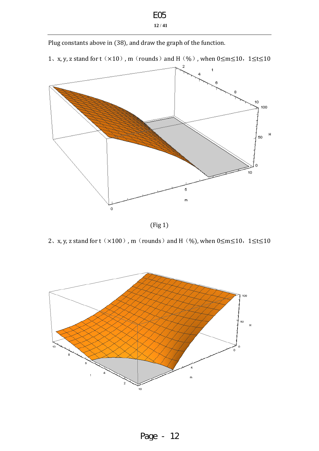# **12** / **41** E05

Plug constants above in (38), and draw the graph of the function.

1、x, y, z stand for  $t(x10)$ , m (rounds) and H(%), when  $0 \le m \le 10$ ,  $1 \le t \le 10$ 



(Fig 1)

2、x, y, z stand for  $t(x100)$ , m (rounds) and H(%), when  $0 \le m \le 10$ ,  $1 \le t \le 10$ 

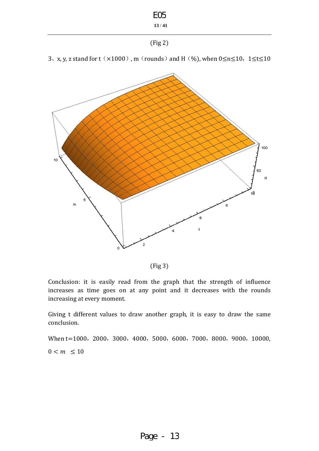

(Fig 3)

Conclusion: it is easily read from the graph that the strength of influence increases as time goes on at any point and it decreases with the rounds increasing at every moment.

Giving t different values to draw another graph, it is easy to draw the same conclusion.

When t=1000, 2000, 3000, 4000, 5000, 6000, 7000, 8000, 9000, 10000,  $0 < m \leq 10$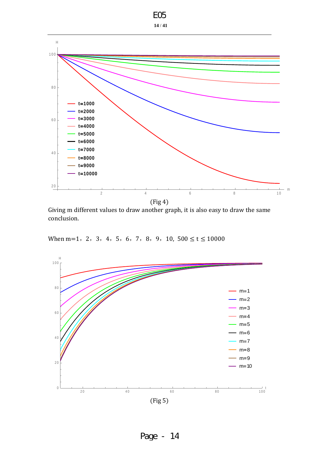| FO5        |
|------------|
| 14 /<br>41 |



Giving m different values to draw another graph, it is also easy to draw the same conclusion.

When m=1, 2, 3, 4, 5, 6, 7, 8, 9, 10,  $500 \le t \le 10000$ 



Page - 14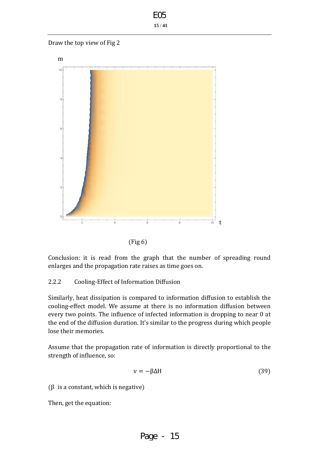Draw the top view of Fig 2





Conclusion: it is read from the graph that the number of spreading round enlarges and the propagation rate raises as time goes on.

## 2.2.2 Cooling-Effect of Information Diffusion

Similarly, heat dissipation is compared to information diffusion to establish the cooling-effect model. We assume at there is no information diffusion between every two points. The influence of infected information is dropping to near 0 at the end of the diffusion duration. t's similar to the progress during which people lose their memories.

Assume that the propagation rate of information is directly proportional to the strength of influence, so:

$$
v = -\beta \Delta H \tag{39}
$$

( $\beta$  is a constant, which is negative)

Then, get the equation: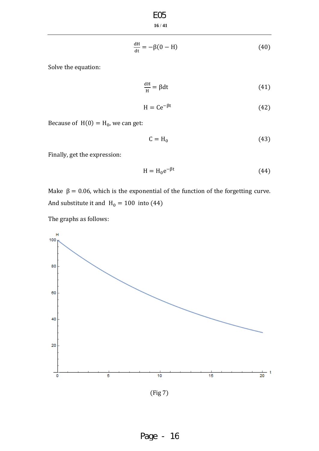**16** / **41** E05

$$
\frac{dH}{dt} = -\beta(0 - H) \tag{40}
$$

Solve the equation:

$$
\frac{dH}{H} = \beta dt \tag{41}
$$

$$
H = Ce^{-\beta t} \tag{42}
$$

Because of  $H(0) = H_0$ , we can get:

$$
C = H_0 \tag{43}
$$

Finally, get the expression:

$$
H = H_0 e^{-\beta t} \tag{44}
$$

Make  $\beta = 0.06$ , which is the exponential of the function of the forgetting curve. And substitute it and  $H_0 = 100$  into (44)

The graphs as follows:



(Fig 7)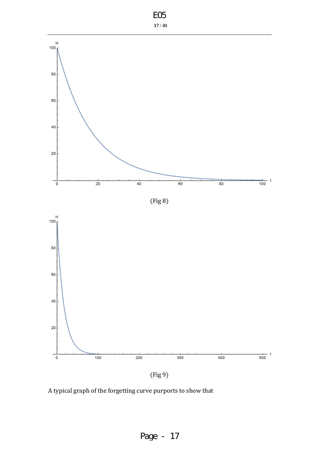





A typical graph of the forgetting curve purports to show that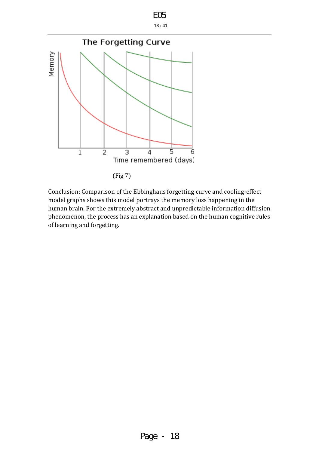| I |  |
|---|--|
|   |  |

**18** / **41**



Conclusion: Comparison of the Ebbinghaus forgetting curve and cooling-effect model graphs shows this model portrays the memory loss happening in the human brain. For the extremely abstract and unpredictable information diffusion phenomenon, the process has an explanation based on the human cognitive rules of learning and forgetting.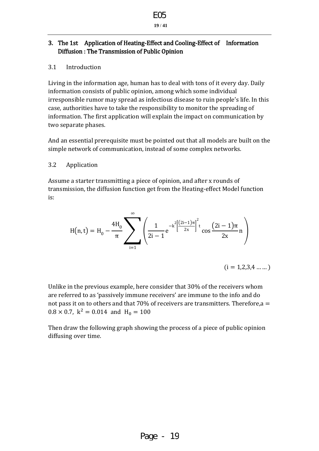

**19** / **41**

### 3. The 1st Application of Heating-Effect and Cooling-Effect of Information Diffusion : The Transmission of Public Opinion

#### 3.1 Introduction

Living in the information age, human has to deal with tons of it every day. Daily information consists of public opinion, among which some individual irresponsible rumor may spread as infectious disease to ruin people's life. In this case, authorities have to take the responsibility to monitor the spreading of information. The first application will explain the impact on communication by two separate phases.

And an essential prerequisite must be pointed out that all models are built on the simple network of communication, instead of some complex networks.

#### 3.2 Application

Assume a starter transmitting a piece of opinion, and after x rounds of transmission, the diffusion function get from the Heating-effect Model function is:

$$
H(n,t) = H_0 - \frac{4H_0}{\pi} \sum_{i=1}^{\infty} \left( \frac{1}{2i-1} e^{-k^2 \left[ \frac{(2i-1)\pi}{2x} \right]^2 t} \cos \frac{(2i-1)\pi}{2x} n \right)
$$

 $(i = 1, 2, 3, 4, \dots)$ 

Unlike in the previous example, here consider that 30% of the receivers whom are referred to as 'passively immune receivers' are immune to the info and do not pass it on to others and that 70% of receivers are transmitters. Therefore,a  $0.8 \times 0.7$ ,  $k^2 = 0.014$  and  $H_0 = 10$ 

Then draw the following graph showing the process of a piece of public opinion diffusing over time.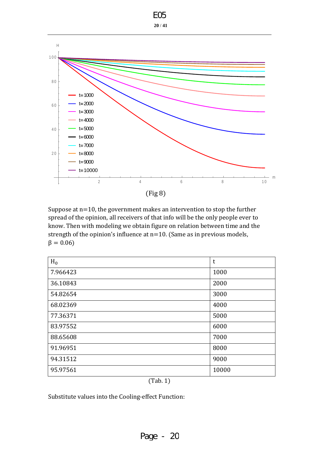|      | FOF |
|------|-----|
| 20 / | 41  |



Suppose at n=10, the government makes an intervention to stop the further spread of the opinion, all receivers of that info will be the only people ever to know. Then with modeling we obtain figure on relation between time and the strength of the opinion's influence at n=10. (Same as in previous models,  $\beta = 0.06$ 

| $H_0$    | t     |
|----------|-------|
| 7.966423 | 1000  |
| 36.10843 | 2000  |
| 54.82654 | 3000  |
| 68.02369 | 4000  |
| 77.36371 | 5000  |
| 83.97552 | 6000  |
| 88.65608 | 7000  |
| 91.96951 | 8000  |
| 94.31512 | 9000  |
| 95.97561 | 10000 |

(Tab. 1)

Substitute values into the Cooling-effect Function: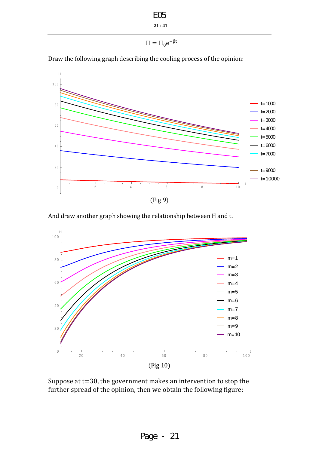E05

**21** / **41**

```
H = H_0 e^{-\beta t}
```
Draw the following graph describing the cooling process of the opinion:



And draw another graph showing the relationship between H and t.



Suppose at t=30, the government makes an intervention to stop the further spread of the opinion, then we obtain the following figure: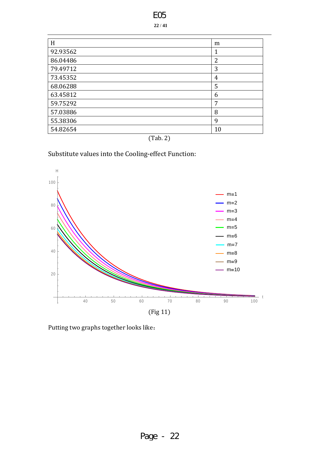|--|

| H        | m  |
|----------|----|
| 92.93562 |    |
| 86.04486 | 2  |
| 79.49712 | 3  |
| 73.45352 | 4  |
| 68.06288 | 5  |
| 63.45812 | 6  |
| 59.75292 | 7  |
| 57.03886 | 8  |
| 55.38306 | 9  |
| 54.82654 | 10 |



# Substitute values into the Cooling-effect Function:



Putting two graphs together looks like: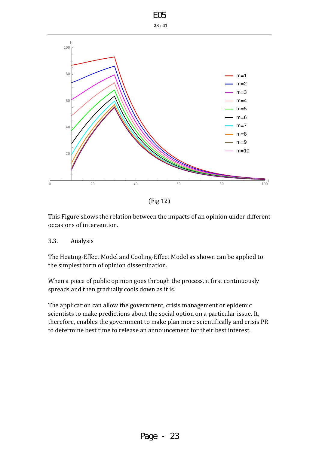

(Fig 12)

This Figure shows the relation between the impacts of an opinion under different occasions of intervention.

#### 3.3. Analysis

The Heating-Effect Model and Cooling-Effect Model as shown can be applied to the simplest form of opinion dissemination.

When a piece of public opinion goes through the process, it first continuously spreads and then gradually cools down as it is.

The application can allow the government, crisis management or epidemic scientists to make predictions about the social option on a particular issue. It, therefore, enables the government to make plan more scientifically and crisis PR to determine best time to release an announcement for their best interest.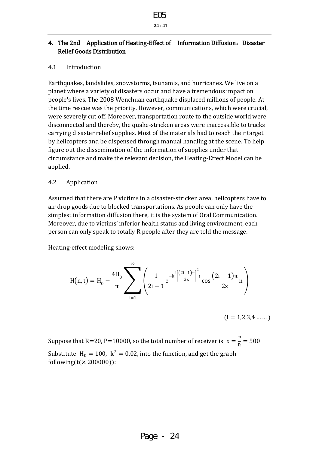**24** / **41**

### 4. The 2nd Application of Heating-Effect of Information Diffusion: Disaster Relief Goods Distribution

#### 4.1 Introduction

Earthquakes, landslides, snowstorms, tsunamis, and hurricanes. We live on a planet where a variety of disasters occur and have a tremendous impact on people's lives. The 2008 Wenchuan earthquake displaced millions of people. At the time rescue was the priority. However, communications, which were crucial, were severely cut off. Moreover, transportation route to the outside world were disconnected and thereby, the quake-stricken areas were inaccessible to trucks carrying disaster relief supplies. Most of the materials had to reach their target by helicopters and be dispensed through manual handling at the scene. To help figure out the dissemination of the information of supplies under that circumstance and make the relevant decision, the Heating-Effect Model can be applied.

#### 4.2 Application

Assumed that there are P victims in a disaster-stricken area, helicopters have to air drop goods due to blocked transportations. As people can only have the simplest information diffusion there, it is the system of Oral Communication. Moreover, due to victims' inferior health status and living environment, each person can only speak to totally R people after they are told the message.

Heating-effect modeling shows:

$$
H(n,t) = H_0 - \frac{4H_0}{\pi} \sum_{i=1}^{\infty} \left( \frac{1}{2i-1} e^{-k^2 \left[\frac{(2i-1)\pi}{2x}\right]^2 t} \cos \frac{(2i-1)\pi}{2x} n \right)
$$

 $(i = 1, 2, 3, 4, \dots)$ 

Suppose that R=20, P=10000, so the total number of receiver is  $x = \frac{P}{D}$  $\frac{1}{R} = 50$ Substitute  $H_0 = 100$ ,  $k^2 = 0.02$ , into the function, and get the graph following( $t$ ( $\times$  200000)):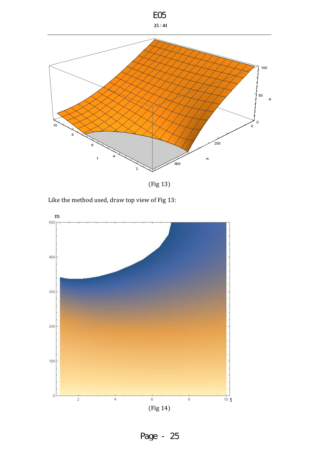

(Fig 13)

Like the method used, draw top view of Fig 13:

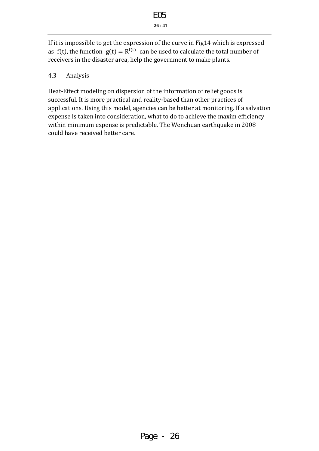If it is impossible to get the expression of the curve in Fig14 which is expressed as f(t), the function  $g(t) = R^{f(t)}$  can be used to calculate the total number of receivers in the disaster area, help the government to make plants.

#### 4.3 Analysis

Heat-Effect modeling on dispersion of the information of relief goods is successful. It is more practical and reality-based than other practices of applications. Using this model, agencies can be better at monitoring. If a salvation expense is taken into consideration, what to do to achieve the maxim efficiency within minimum expense is predictable. The Wenchuan earthquake in 2008 could have received better care.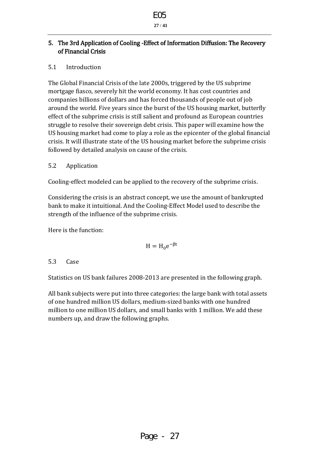

**27** / **41**

### 5. The 3rd Application of Cooling -Effect of Information Diffusion: The Recovery of Financial Crisis

## 5.1 Introduction

The Global Financial Crisis of the late 2000s, triggered by the US subprime mortgage fiasco, severely hit the world economy. It has cost countries and companies billions of dollars and has forced thousands of people out of job around the world. Five years since the burst of the US housing market, butterfly effect of the subprime crisis is still salient and profound as European countries struggle to resolve their sovereign debt crisis. This paper will examine how the US housing market had come to play a role as the epicenter of the global financial crisis. It will illustrate state of the US housing market before the subprime crisis followed by detailed analysis on cause of the crisis.

#### 5.2 Application

Cooling-effect modeled can be applied to the recovery of the subprime crisis.

Considering the crisis is an abstract concept, we use the amount of bankrupted bank to make it intuitional. And the Cooling-Effect Model used to describe the strength of the influence of the subprime crisis.

Here is the function:

$$
H = H_0 e^{-\beta t}
$$

5.3 Case

Statistics on US bank failures 2008-2013 are presented in the following graph.

All bank subjects were put into three categories: the large bank with total assets of one hundred million US dollars, medium-sized banks with one hundred million to one million US dollars, and small banks with 1 million. We add these numbers up, and draw the following graphs.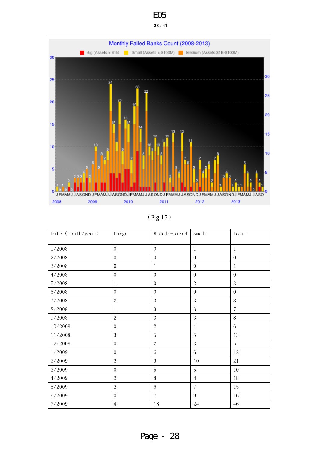



| 0 |  |
|---|--|
|---|--|

| Date (month/year) | Large            | Middle-sized     | Sma11            | Total            |
|-------------------|------------------|------------------|------------------|------------------|
| 1/2008            | $\overline{0}$   | $\boldsymbol{0}$ | $\mathbf{1}$     | $\mathbf{1}$     |
| 2/2008            | $\overline{0}$   | $\boldsymbol{0}$ | $\boldsymbol{0}$ | $\boldsymbol{0}$ |
| 3/2008            | $\overline{0}$   | $\mathbf{1}$     | $\mathbf{0}$     | $\mathbf{1}$     |
| 4/2008            | $\overline{0}$   | $\boldsymbol{0}$ | $\boldsymbol{0}$ | $\overline{0}$   |
| 5/2008            | $\mathbf{1}$     | $\boldsymbol{0}$ | $\mathbf{2}$     | 3                |
| 6/2008            | $\overline{0}$   | $\boldsymbol{0}$ | $\boldsymbol{0}$ | $\overline{0}$   |
| 7/2008            | $\overline{2}$   | 3                | 3                | 8                |
| 8/2008            | $\mathbf{1}$     | 3                | 3                | $\overline{7}$   |
| 9/2008            | $\overline{2}$   | 3                | 3                | 8                |
| 10/2008           | $\overline{0}$   | $\overline{2}$   | $\overline{4}$   | $6\phantom{1}6$  |
| 11/2008           | 3                | $\overline{5}$   | 5                | 13               |
| 12/2008           | $\boldsymbol{0}$ | $\overline{2}$   | 3                | $\overline{5}$   |
| 1/2009            | $\boldsymbol{0}$ | $6\,$            | $\,6$            | 12               |
| 2/2009            | $\overline{2}$   | 9                | 10               | 21               |
| 3/2009            | $\overline{0}$   | $\overline{5}$   | $\overline{5}$   | 10               |
| 4/2009            | $\overline{2}$   | $8\,$            | 8                | 18               |
| 5/2009            | $\overline{2}$   | $\,6\,$          | $\overline{7}$   | 15               |
| 6/2009            | $\overline{0}$   | $\overline{7}$   | 9                | 16               |
| 7/2009            | $\overline{4}$   | 18               | 24               | 46               |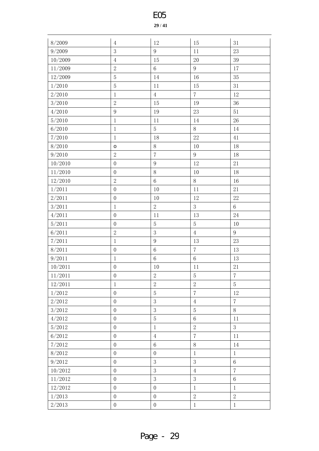#### / **41**

| 8/2009     | $\,4\,$          | $12\,$           | 15             | 31             |
|------------|------------------|------------------|----------------|----------------|
| 9/2009     | 3                | 9                | 11             | 23             |
| 10/2009    | $\,4\,$          | 15               | 20             | 39             |
| 11/2009    | $\sqrt{2}$       | $6\,$            | 9              | 17             |
| 12/2009    | $\overline{5}$   | 14               | 16             | 35             |
| 1/2010     | $\mathbf 5$      | 11               | 15             | 31             |
| 2/2010     | $\mathbf{1}$     | $\overline{4}$   | $7\phantom{.}$ | 12             |
| 3/2010     | $\sqrt{2}$       | 15               | 19             | 36             |
| 4/2010     | 9                | 19               | $23\,$         | 51             |
| 5/2010     | $1\,$            | 11               | 14             | 26             |
| 6/2010     | $\mathbf{1}$     | $\overline{5}$   | 8              | 14             |
| 7/2010     | $\mathbf{1}$     | 18               | 22             | 41             |
| 8/2010     | $\circ$          | $8\,$            | 10             | 18             |
| 9/2010     | $\sqrt{2}$       | $\overline{7}$   | 9              | 18             |
| 10/2010    | $\boldsymbol{0}$ | $\overline{9}$   | 12             | $21\,$         |
| 11/2010    | $\boldsymbol{0}$ | $8\,$            | 10             | 18             |
| 12/2010    | $\mathbf{2}$     | $\,6\,$          | $8\,$          | 16             |
| 1/2011     | $\boldsymbol{0}$ | $10\,$           | 11             | $21\,$         |
| $2/2011\,$ | $\boldsymbol{0}$ | 10               | 12             | $22\,$         |
| 3/2011     | $\mathbf{1}$     | $\overline{2}$   | 3              | $\,6\,$        |
| 4/2011     | $\mathbf{0}$     | 11               | 13             | $24\,$         |
| $5/2011\,$ | $\boldsymbol{0}$ | $\mathbf 5$      | $\sqrt{5}$     | 10             |
| 6/2011     | $\sqrt{2}$       | $\mathfrak{Z}$   | $\,4\,$        | $\overline{9}$ |
| 7/2011     | $1\,$            | $\overline{9}$   | 13             | 23             |
| 8/2011     | $\boldsymbol{0}$ | $\,6\,$          | $\sqrt{7}$     | 13             |
| 9/2011     | $\mathbf{1}$     | $6\,$            | $\,6\,$        | 13             |
| 10/2011    | $\boldsymbol{0}$ | 10               | 11             | $21\,$         |
| 11/2011    | $\mathbf{0}$     | $\overline{2}$   | $\overline{5}$ | $\overline{7}$ |
| 12/2011    | $\mathbf{1}$     | $\sqrt{2}$       | $\overline{2}$ | $\overline{5}$ |
| 1/2012     | $\boldsymbol{0}$ | $\sqrt{5}$       | $\overline{7}$ | 12             |
| 2/2012     | $\boldsymbol{0}$ | 3                | $\overline{4}$ | $\overline{7}$ |
| 3/2012     | $\mathbf{0}$     | 3                | $\overline{5}$ | 8              |
| 4/2012     | $\boldsymbol{0}$ | $\sqrt{5}$       | $\,6\,$        | 11             |
| 5/2012     | $\boldsymbol{0}$ | $\,1$            | $\sqrt{2}$     | $\mathfrak{Z}$ |
| 6/2012     | $\boldsymbol{0}$ | $\overline{4}$   | $\overline{7}$ | 11             |
| 7/2012     | $\boldsymbol{0}$ | $\,6\,$          | $8\,$          | 14             |
| 8/2012     | $\mathbf{0}$     | $\boldsymbol{0}$ | $\,1$          | $\mathbf{1}$   |
| 9/2012     | $\boldsymbol{0}$ | 3                | 3              | $\,6\,$        |
| 10/2012    | $\boldsymbol{0}$ | 3                | $\,4\,$        | $\overline{7}$ |
| 11/2012    | $\boldsymbol{0}$ | $\mathfrak{Z}$   | 3              | $6\,$          |
| 12/2012    | $\boldsymbol{0}$ | $\boldsymbol{0}$ | $\,1$          | $\mathbf{1}$   |
| 1/2013     | $\boldsymbol{0}$ | $\boldsymbol{0}$ | $\sqrt{2}$     | $\overline{2}$ |
| 2/2013     | $\boldsymbol{0}$ | $\boldsymbol{0}$ | $\mathbf{1}$   | $1\,$          |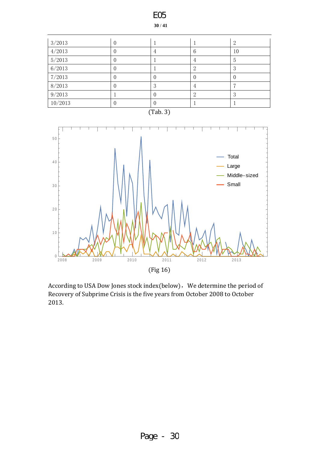

According to USA Dow Jones stock index(below), We determine the period of Recovery of Subprime Crisis is the five years from October 2008 to October 2013.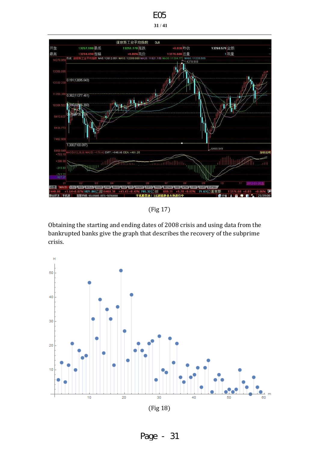

E05

(Fig 17)

Obtaining the starting and ending dates of 2008 crisis and using data from the bankrupted banks give the graph that describes the recovery of the subprime crisis.

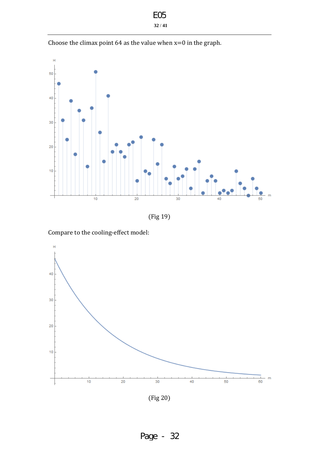| EOE |    |
|-----|----|
| 32/ | 41 |

Choose the climax point  $64$  as the value when  $x=0$  in the graph.



Compare to the cooling-effect model:



(Fig 20)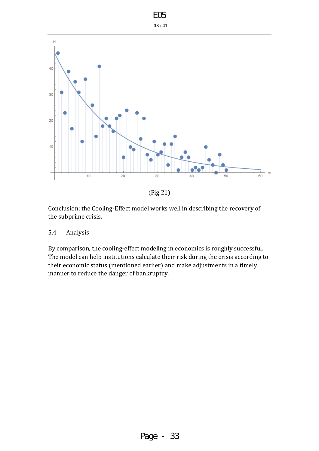

E05

Conclusion: the Cooling-Effect model works well in describing the recovery of the subprime crisis.

#### 5.4 Analysis

By comparison, the cooling-effect modeling in economics is roughly successful. The model can help institutions calculate their risk during the crisis according to their economic status (mentioned earlier) and make adjustments in a timely manner to reduce the danger of bankruptcy.

<sup>(</sup>Fig 21)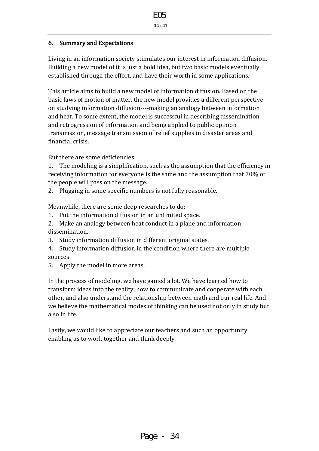### 6. Summary and Expectations

Living in an information society stimulates our interest in information diffusion. Building a new model of it is just a bold idea, but two basic models eventually established through the effort, and have their worth in some applications.

This article aims to build a new model of information diffusion. Based on the basic laws of motion of matter, the new model provides a different perspective on studying information diffusion----making an analogy between information and heat. To some extent, the model is successful in describing dissemination and retrogression of information and being applied to public opinion transmission, message transmission of relief supplies in disaster areas and financial crisis.

But there are some deficiencies:

1. The modeling is a simplification, such as the assumption that the efficiency in receiving information for everyone is the same and the assumption that 70% of the people will pass on the message.

2. Plugging in some specific numbers is not fully reasonable.

Meanwhile, there are some deep researches to do:

- 1. Put the information diffusion in an unlimited space.
- 2. Make an analogy between heat conduct in a plane and information dissemination.
- 3. Study information diffusion in different original states.
- 4. Study information diffusion in the condition where there are multiple sources
- 5. Apply the model in more areas.

In the process of modeling, we have gained a lot. We have learned how to transform ideas into the reality, how to communicate and cooperate with each other, and also understand the relationship between math and our real life. And we believe the mathematical modes of thinking can be used not only in study but also in life.

Lastly, we would like to appreciate our teachers and such an opportunity enabling us to work together and think deeply.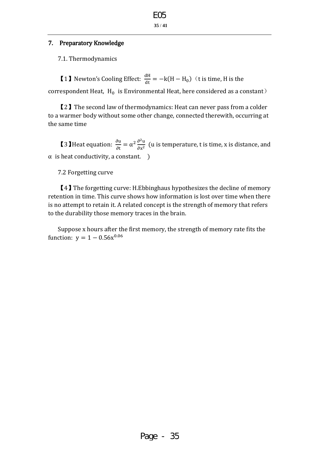#### 7. Preparatory Knowledge

7.1. Thermodynamics

**[1]** Newton's Cooling Effect:  $\frac{dH}{dt} = -k(H - H_0)$  (t is time, H is the correspondent Heat,  $H_0$  is Environmental Heat, here considered as a constant)

【2】The second law of thermodynamics: Heat can never pass from a colder to a warmer body without some other change, connected therewith, occurring at the same time

**【3】Heat equation:**  $\frac{\partial}{\partial t}$  $\frac{\partial u}{\partial t} = \alpha^2 \frac{\partial^2}{\partial x^2}$  $\frac{\partial u}{\partial x^2}$  (u is temperature, t is time, x is distance, and  $\alpha$  is heat conductivity, a constant.  $\alpha$ 

#### 7.2 Forgetting curve

【4】The forgetting curve: H.Ebbinghaus hypothesizes the decline of memory retention in time. This curve shows how information is lost over time when there is no attempt to retain it. A related concept is the strength of memory that refers to the durability those memory traces in the brain.

Suppose x hours after the first memory, the strength of memory rate fits the function:  $y = 1 - 0.56x^0$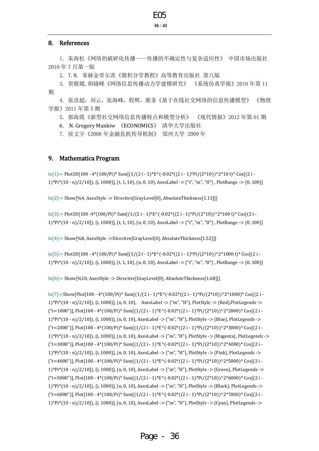#### E05

#### **36** / **41**

#### 8. References

1. 朱海松《网络的破碎化传播——传播的不确定性与复杂适应性》 中国市场出版社 2010 年 7 月第一版

2. T.M. 菲赫金哥尔茨《微积分学教程》高等教育出版社 第八版

3. 贺筱媛,胡晓峰《网络信息传播动力学建模研究》 《系统仿真学报》2010 年第 11 期

4. 张彦超,刘云,张海峰,程辉,熊菲《基于在线社交网络的信息传播模型》 《物理 学报》2011 年第 5 期

5. 郭海霞《新型社交网络信息传播特点和模型分析》 《现代情报》2012 年第 01 期

6. N. Gregory Mankiw 《ECONOMICS》 清华大学出版社

7. 侯文宇《2008 年金融危机传导机制》 郑州大学 2009 年

#### 9. Mathematica Program

 $In[1]:= Plot3D[100 - 4*(100/Pi)*Sum[(1/(2 i - 1)*E^(-0.02*((2 i - 1)*Pi/(2*10))^2*2*10 t)*Cos[(2 i - 1)*D(i/2*10)]$ 1)\*Pi\*(10 - n)/2/10]), {i, 1000}], {t, 1, 10}, {n, 0, 10}, AxesLabel -> {"t", "m", "H"} , PlotRange -> {0, 100}]

In[2]:= Show[%4, AxesStyle -> Directive[GrayLevel[0], AbsoluteThickness[1.13]]]

 $In[3]:= Plot3D[100 -4*(100/Pi)* Sum[(1/(2 i - 1)*E^(0.02*((2 i - 1)*Pi/(2*10))^2*100 t)*Cos[(2 i - 1)*F^(0.02*(10 i - 1))]$ 1)\*Pi\*(10 - n)/2/10]), {i, 1000}], {t, 1, 10}, {n, 0, 10}, AxesLabel -> {"t", "m", "H"} , PlotRange -> {0, 100}]

In[4]:= Show[%8, AxesStyle ->Directive[GrayLevel[0], AbsoluteThickness[1.52]]]

 $In[5]:= Plot3D[100 - 4*(100/Pi)*Sum[(1/(2 i - 1)*E^(-0.02*((2 i - 1)*Pi/(2*10))^2*1000 t)*Cos[(2 i - 1)*D*(1000 + 1)(1-(2 i - 1))]$ 1)\*Pi\*(10 - n)/2/10]), {i, 1000}], {t, 1, 10}, {n, 0, 10}, AxesLabel -> {"t", "m", "H"} , PlotRange -> {0, 100}]

In[6]:= Show[%10, AxesStyle -> Directive[GrayLevel[0], AbsoluteThickness[1.68]]]

 $\text{In}[7]:=\text{Show}[\text{Plot}[100 - 4*(100/\text{Pi})* \text{Sum}[(1/(2 i - 1)*\text{E}^*(-0.02*((2 i - 1)*\text{Pi}/(2*10))^2*1000)*\text{Cos}[(2 i - 1)*\text{E}^(-0.02*((2 i - 1)*\text{Pi}/(2*10))^2*1000)*\text{Cos}[(2 i - 1)*\text{E}^(-0.02*(2 i - 1)*\text{Pi}/(2*10))^2*1000]*\text{Cos}[(2 i - 1)*\text{E}^(-0.02*(2 i - 1)*\text{Pi}/(2*10))^$ 1)\*Pi\*(10 - n)/2/10]), {i, 1000}], {n, 0, 10}, AxesLabel -> {"m", "H"}, PlotStyle -> {Red},PlotLegends ->  ${\rm Tr}$ =1000"}], Plot[100 - 4\*(100/Pi)\* Sum[ $(1/(2 i - 1)$ \*E^(-0.02\*((2 i - 1)\*Pi/(2\*10))^2\*2000)\* Cos[(2 i -1)\*Pi\*(10 - n)/2/10]), {i, 1000}], {n, 0, 10}, AxesLabel -> {"m", "H"}, PlotStyle -> {Blue}, PlotLegends ->  ${\rm Tr}$ =2000"}], Plot[100 - 4\*(100/Pi)\* Sum[(1/(2 i - 1)\*E^(-0.02\*((2 i - 1)\*Pi/(2\*10))^2\*3000)\* Cos[(2 i -1)\*Pi\*(10 - n)/2/10]), {i, 1000}], {n, 0, 10}, AxesLabel -> {"m", "H"}, PlotStyle -> {Magenta}, PlotLegends ->  ${\rm Tr}$ =3000"}], Plot[100 - 4\*(100/Pi)\* Sum[(1/(2 i - 1)\*E^(-0.02\*((2 i - 1)\*Pi/(2\*10))^2\*4000)\* Cos[(2 i -1)\*Pi\*(10 - n)/2/10]), {i, 1000}], {n, 0, 10}, AxesLabel -> {"m", "H"}, PlotStyle -> {Pink}, PlotLegends ->  ${\rm Tr}$ =4000"}], Plot[100 - 4\*(100/Pi)\* Sum[(1/(2 i - 1)\*E^(-0.02\*((2 i - 1)\*Pi/(2\*10))^2\*5000)\* Cos[(2 i -1)\*Pi\*(10 - n)/2/10]), {i, 1000}], {n, 0, 10}, AxesLabel -> {"m", "H"}, PlotStyle -> {Green}, PlotLegends -> {"t=5000"}], Plot[100 - 4\*(100/Pi)\* Sum[(1/(2 i - 1)\*E^(-0.02\*((2 i - 1)\*Pi/(2\*10))^2\*6000)\* Cos[(2 i -1)\*Pi\*(10 - n)/2/10]), {i, 1000}], {n, 0, 10}, AxesLabel -> {"m", "H"}, PlotStyle -> {Black}, PlotLegends ->  ${\rm Tr}$ =6000"}], Plot[100 - 4\*(100/Pi)\* Sum[(1/(2 i - 1)\*E^(-0.02\*((2 i - 1)\*Pi/(2\*10))^2\*7000)\* Cos[(2 i -1)\*Pi\*(10 - n)/2/10]), {i, 1000}], {n, 0, 10}, AxesLabel -> {"m", "H"}, PlotStyle -> {Cyan}, PlotLegends ->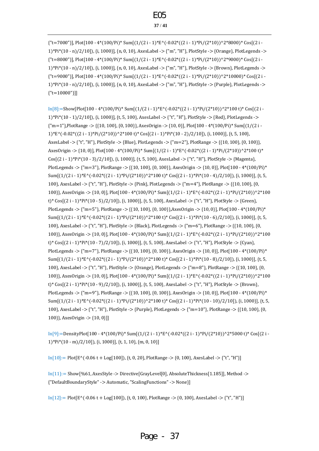{"t=7000"}], Plot[100 - 4\*(100/Pi)\* Sum[(1/(2 i - 1)\*E^(-0.02\*((2 i - 1)\*Pi/(2\*10))^2\*8000)\* Cos[(2 i - 1)\*Pi\*(10 - n)/2/10]), {i, 1000}], {n, 0, 10}, AxesLabel -> {"m", "H"}, PlotStyle -> {Orange}, PlotLegends -> {"t=8000"}], Plot[100 - 4\*(100/Pi)\* Sum[(1/(2 i - 1)\*E^(-0.02\*((2 i - 1)\*Pi/(2\*10))^2\*9000)\* Cos[(2 i - 1)\*Pi\*(10 - n)/2/10]), {i, 1000}], {n, 0, 10}, AxesLabel -> {"m", "H"}, PlotStyle -> {Brown}, PlotLegends ->  ${\rm Tr}$ =9000"}], Plot[100 - 4\*(100/Pi)\* Sum[(1/(2 i - 1)\*E^(-0.02\*((2 i - 1)\*Pi/(2\*10))^2\*10000)\* Cos[(2 i -1)\*Pi\*(10 - n)/2/10]), {i, 1000}], {n, 0, 10}, AxesLabel -> {"m", "H"}, PlotStyle -> {Purple}, PlotLegends -> {"t=10000"}]]

 $In[8]:=Show[Plot[100 - 4*(100/Pi)*Sum[(1/(2 i - 1)*E^(-0.02*((2 i - 1)*Pi/(2*10))^2*100 t)*Cos[(2 i - 1)*E^(-0.02*(2 i - 1)*Pi/(2*10))]$ 1)\*Pi\*(10 - 1)/2/10]), {i, 1000}], {t, 5, 100}, AxesLabel -> {"t", "H"}, PlotStyle -> {Red}, PlotLegends -> {"m=1"},PlotRange -> {{10, 100}, {0, 100}}, AxesOrigin -> {10, 0}], Plot[100 - 4\*(100/Pi)\* Sum[(1/(2 i -  $1)*E^(-0.02*((2 i - 1)*Pi/(2*10))^2*100 t)*Cos[(2 i - 1)*Pi*(10 - 2)/2/10]),$  {i, 1000}], {t, 5, 100}, AxesLabel -> {"t", "H"}, PlotStyle -> {Blue}, PlotLegends -> {"m=2"}, PlotRange -> {{10, 100}, {0, 100}}, AxesOrigin -> {10, 0}], Plot[100 - 4\*(100/Pi)\* Sum[(1/(2 i - 1)\*E^(-0.02\*((2 i - 1)\*Pi/(2\*10))^2\*100 t)\* Cos[(2 i - 1)\*Pi\*(10 - 3)/2/10]), {i, 1000}], {t, 5, 100}, AxesLabel -> {"t", "H"}, PlotStyle -> {Magenta}, PlotLegends -> {"m=3"}, PlotRange -> {{10, 100}, {0, 100}}, AxesOrigin -> {10, 0}], Plot[100 - 4\*(100/Pi)\* Sum[ $(1/(2 i - 1)*E^*(-0.02*((2 i - 1)*Pi/(2*10))^2*100 t)*Cos[(2 i - 1)*Pi*(10 - 4)/2/10]),$  {i, 1000}], {t, 5, 100}, AxesLabel -> {"t", "H"}, PlotStyle -> {Pink}, PlotLegends -> {"m=4"}, PlotRange -> {{10, 100}, {0, 100}}, AxesOrigin -> {10, 0}], Plot[100 - 4\*(100/Pi)\* Sum[(1/(2 i - 1)\*E^(-0.02\*((2 i - 1)\*Pi/(2\*10))^2\*100 t)\* Cos[(2 i - 1)\*Pi\*(10 - 5)/2/10]), {i, 1000}], {t, 5, 100}, AxesLabel -> {"t", "H"}, PlotStyle -> {Green}, PlotLegends -> {"m=5"}, PlotRange -> {{10, 100}, {0, 100}},AxesOrigin -> {10, 0}], Plot[100 - 4\*(100/Pi)\* Sum[ $(1/(2 i - 1)*E^*(-0.02*((2 i - 1)*Pi/(2*10))^2*100 t)*Cos[(2 i - 1)*Pi*(10 - 6)/2/10]),$  {i, 1000}], {t, 5, 100}, AxesLabel -> {"t", "H"}, PlotStyle -> {Black}, PlotLegends -> {"m=6"}, PlotRange -> {{10, 100}, {0, 100}}, AxesOrigin -> {10, 0}], Plot[100 - 4\*(100/Pi)\* Sum[(1/(2 i - 1)\*E^(-0.02\*((2 i - 1)\*Pi/(2\*10))^2\*100 t)\* Cos[(2 i - 1)\*Pi\*(10 - 7)/2/10]), {i, 1000}], {t, 5, 100}, AxesLabel -> {"t", "H"}, PlotStyle -> {Cyan}, PlotLegends -> {"m=7"}, PlotRange -> {{10, 100}, {0, 100}}, AxesOrigin -> {10, 0}], Plot[100 - 4\*(100/Pi)\* Sum[ $(1/(2 i - 1)*E^*(-0.02*((2 i - 1)*Pi/(2*10))^2*100 t)*Cos[(2 i - 1)*Pi*(10 - 8)/2/10]),$  {i, 1000}], {t, 5, 100}, AxesLabel -> {"t", "H"}, PlotStyle -> {Orange}, PlotLegends -> {"m=8"}, PlotRange -> {{10, 100}, {0, 100}}, AxesOrigin -> {10, 0}], Plot[100 - 4\*(100/Pi)\* Sum[(1/(2 i - 1)\*E^(-0.02\*((2 i - 1)\*Pi/(2\*10))^2\*100 t)\* Cos[(2 i - 1)\*Pi\*(10 - 9)/2/10]), {i, 1000}], {t, 5, 100}, AxesLabel -> {"t", "H"}, PlotStyle -> {Brown}, PlotLegends -> {"m=9"}, PlotRange -> {{10, 100}, {0, 100}}, AxesOrigin -> {10, 0}], Plot[100 - 4\*(100/Pi)\* Sum[(1/(2 i - 1)\*E^(-0.02\*((2 i - 1)\*Pi/(2\*10))^2\*100 t)\* Cos[(2 i - 1)\*Pi\*(10 - 10)/2/10]), {i, 1000}], {t, 5, 100}, AxesLabel -> {"t", "H"}, PlotStyle -> {Purple}, PlotLegends -> {"m=10"}, PlotRange -> {{10, 100}, {0, 100}}, AxesOrigin -> {10, 0}]]

 $\text{In}[\frac{9}]=\text{DensityPlot}[100 - 4*(100/Pi)*\text{Sum}[(1/(2 i - 1)*E^(-0.02*((2 i - 1)*Pi/(2*10))^2*5000 t)*\text{Cos}[(2 i - 1)*E^(-0.02*(2 i - 1)*E^(-0.02*(2 i - 1)*E^(-0.02*(2 i - 1)*E^(-0.02*(2 i - 1))])$ 1)\*Pi\*(10 - m)/2/10]), {i, 1000}], {t, 1, 10}, {m, 0, 10}]

 $In [10]:= Plot [E^(-0.06 t + Log[100]), \{t, 0, 20\}, PlotRange -> \{0, 100\}, Axelable -> \{[[t", "H"]\}]$ 

In{11}:= Show[%61, AxesStyle -> Directive[GrayLevel[0], AbsoluteThickness[1.185]], Method -> {"DefaultBoundaryStyle" -> Automatic, "ScalingFunctions" -> None}]

 $In [12]:= Plot [E^(-0.06 t + Log[100]), \{t, 0, 100\}, PlotRange > {0, 100\}, Axelable! > {"t", "H"}]$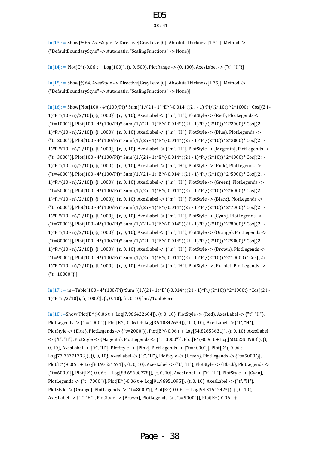In[13]:= Show[%65, AxesStyle -> Directive[GrayLevel[0], AbsoluteThickness[1.31]], Method -> {"DefaultBoundaryStyle" -> Automatic, "ScalingFunctions" -> None}]

In[14]:= Plot[E^(-0.06 t + Log[100]), {t, 0, 500}, PlotRange -> {0, 100}, AxesLabel -> {"t", "H"}]

In[15]:= Show[%64, AxesStyle -> Directive[GrayLevel[0], AbsoluteThickness[1.35]], Method -> {"DefaultBoundaryStyle" -> Automatic, "ScalingFunctions" -> None}]

 $In[16]:= Show[Plot[100 - 4*(100/Pi)*Sum[(1/(2 i - 1)*E^(-0.014*((2 i - 1)*Pi/(2*10))^2*1000)*Cos[(2 i - 1)*Pi/(2*10)]$ 1)\*Pi\*(10 - n)/2/10]), {i, 1000}], {n, 0, 10}, AxesLabel -> {"m", "H"}, PlotStyle -> {Red}, PlotLegends ->  ${\rm Tr}$ =1000"}], Plot[100 - 4\*(100/Pi)\* Sum[(1/(2 i - 1)\*E^(-0.014\*((2 i - 1)\*Pi/(2\*10))^2\*2000)\* Cos[(2 i -1)\*Pi\*(10 - n)/2/10]), {i, 1000}], {n, 0, 10}, AxesLabel -> {"m", "H"}, PlotStyle -> {Blue}, PlotLegends -> {"t=2000"}], Plot[100 - 4\*(100/Pi)\* Sum[(1/(2 i - 1)\*E^(-0.014\*((2 i - 1)\*Pi/(2\*10))^2\*3000)\* Cos[(2 i - 1)\*Pi\*(10 - n)/2/10]), {i, 1000}], {n, 0, 10}, AxesLabel -> {"m", "H"}, PlotStyle -> {Magenta}, PlotLegends -> {"t=3000"}], Plot[100 - 4\*(100/Pi)\* Sum[(1/(2 i - 1)\*E^(-0.014\*((2 i - 1)\*Pi/(2\*10))^2\*4000)\* Cos[(2 i - 1)\*Pi\*(10 - n)/2/10]), {i, 1000}], {n, 0, 10}, AxesLabel -> {"m", "H"}, PlotStyle -> {Pink}, PlotLegends ->  ${\rm Tr}$ =4000"}], Plot[100 - 4\*(100/Pi)\* Sum[(1/(2 i - 1)\*E^(-0.014\*((2 i - 1)\*Pi/(2\*10))^2\*5000)\* Cos[(2 i -1)\*Pi\*(10 - n)/2/10]), {i, 1000}], {n, 0, 10}, AxesLabel -> {"m", "H"}, PlotStyle -> {Green}, PlotLegends ->  ${\rm Tr}$ =5000"}], Plot[100 - 4\*(100/Pi)\* Sum[(1/(2 i - 1)\*E^(-0.014\*((2 i - 1)\*Pi/(2\*10))^2\*6000)\* Cos[(2 i -1)\*Pi\*(10 - n)/2/10]), {i, 1000}], {n, 0, 10}, AxesLabel -> {"m", "H"}, PlotStyle -> {Black}, PlotLegends -> {"t=6000"}], Plot[100 - 4\*(100/Pi)\* Sum[(1/(2 i - 1)\*E^(-0.014\*((2 i - 1)\*Pi/(2\*10))^2\*7000)\* Cos[(2 i - 1)\*Pi\*(10 - n)/2/10]), {i, 1000}], {n, 0, 10}, AxesLabel -> {"m", "H"}, PlotStyle -> {Cyan}, PlotLegends -> {"t=7000"}], Plot[100 - 4\*(100/Pi)\* Sum[(1/(2 i - 1)\*E^(-0.014\*((2 i - 1)\*Pi/(2\*10))^2\*8000)\* Cos[(2 i - 1)\*Pi\*(10 - n)/2/10]), {i, 1000}], {n, 0, 10}, AxesLabel -> {"m", "H"}, PlotStyle -> {Orange}, PlotLegends -> {"t=8000"}], Plot[100 - 4\*(100/Pi)\* Sum[(1/(2 i - 1)\*E^(-0.014\*((2 i - 1)\*Pi/(2\*10))^2\*9000)\* Cos[(2 i - 1)\*Pi\*(10 - n)/2/10]), {i, 1000}], {n, 0, 10}, AxesLabel -> {"m", "H"}, PlotStyle -> {Brown}, PlotLegends ->  ${\rm Tr}$ =9000"}], Plot[100 - 4\*(100/Pi)\* Sum[(1/(2 i - 1)\*E^(-0.014\*((2 i - 1)\*Pi/(2\*10))^2\*10000)\* Cos[(2 i -1)\*Pi\*(10 - n)/2/10]), {i, 1000}], {n, 0, 10}, AxesLabel -> {"m", "H"}, PlotStyle -> {Purple}, PlotLegends -> {"t=10000"}]]

 $In[17]:=$  m=Table[100 - 4\*(100/Pi)\*Sum [(1/(2 i - 1)\*E^(-0.014\*((2 i - 1)\*Pi/(2\*10))^2\*1000t) \*Cos[(2 i -1)\*Pi\*n/2/10]), {i, 1000}], {t, 0, 10}, {n, 0, 10}]m//TableForm

 $In [18]:=Show [Plot [E^(-0.06 t + Log [7.966422604]), {t, 0, 10}, Plot Style -> {Red}, AxesLabel -> {t", "H",}$ PlotLegends -> {"t=1000"}], Plot[E^(-0.06 t + Log[36.10842639]), {t, 0, 10}, AxesLabel -> {"t", "H"}, PlotStyle -> {Blue}, PlotLegends -> {"t=2000"}], Plot[E^(-0.06 t + Log[54.82653631]), {t, 0, 10}, AxesLabel -> {"t", "H"}, PlotStyle -> {Magenta}, PlotLegends -> {"t=3000"}], Plot[E^(-0.06 t + Log[68.02368988]), {t, 0, 10}, AxesLabel -> {"t", "H"}, PlotStyle -> {Pink}, PlotLegends -> {"t=4000"}], Plot[E^(-0.06 t + Log[77.36371333]), {t, 0, 10}, AxesLabel -> {"t", "H"}, PlotStyle -> {Green}, PlotLegends -> {"t=5000"}], Plot[E^(-0.06 t + Log[83.97551671]), {t, 0, 10}, AxesLabel -> {"t", "H"}, PlotStyle -> {Black}, PlotLegends -> {"t=6000"}], Plot[E^(-0.06 t + Log[88.65608378]), {t, 0, 10}, AxesLabel -> {"t", "H"}, PlotStyle -> {Cyan}, PlotLegends -> {"t=7000"}], Plot[E^(-0.06 t + Log[91.96951095]), {t, 0, 10}, AxesLabel -> {"t", "H"}, PlotStyle -> {Orange}, PlotLegends -> {"t=8000"}], Plot[E^(-0.06 t + Log[94.31512423]), {t, 0, 10}, AxesLabel -> {"t", "H"}, PlotStyle -> {Brown}, PlotLegends -> {"t=9000"}], Plot[E^(-0.06 t +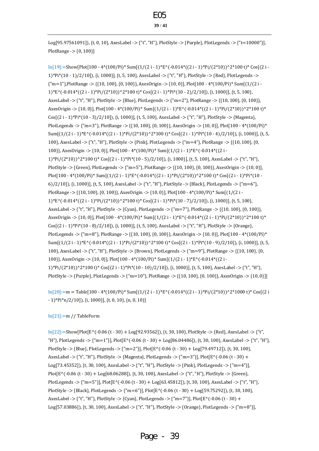Log[95.97561091]), {t, 0, 10}, AxesLabel -> {"t", "H"}, PlotStyle -> {Purple}, PlotLegends -> {"t=10000"}], PlotRange -> {0, 100}]

In[19]:=Show[Plot[100 - 4\*(100/Pi)\* Sum[(1/(2 i - 1)\*E^(-0.014\*((2 i - 1)\*Pi/(2\*10))^2\*100 t)\* Cos[(2 i - 1)\*Pi\*(10 - 1)/2/10]), {i, 1000}], {t, 5, 100}, AxesLabel -> {"t", "H"}, PlotStyle -> {Red}, PlotLegends -> {"m=1"},PlotRange -> {{10, 100}, {0, 100}}, AxesOrigin -> {10, 0}], Plot[100 - 4\*(100/Pi)\* Sum[(1/(2 i -  $1)*E^(-0.014*((2 i - 1)*Pi/(2*10))^2*100 t)*Cos[(2 i - 1)*Pi*(10 - 2)/2/10]),$  {i, 1000}], {t, 5, 100}, AxesLabel -> {"t", "H"}, PlotStyle -> {Blue}, PlotLegends -> {"m=2"}, PlotRange -> {{10, 100}, {0, 100}}, AxesOrigin -> {10, 0}], Plot[100 - 4\*(100/Pi)\* Sum[(1/(2 i - 1)\*E^(-0.014\*((2 i - 1)\*Pi/(2\*10))^2\*100 t)\* Cos[(2 i - 1)\*Pi\*(10 - 3)/2/10]), {i, 1000}], {t, 5, 100}, AxesLabel -> {"t", "H"}, PlotStyle -> {Magenta}, PlotLegends -> {"m=3"}, PlotRange -> {{10, 100}, {0, 100}}, AxesOrigin -> {10, 0}], Plot[100 - 4\*(100/Pi)\* Sum[ $(1/(2 i - 1)*E^*(-0.014*((2 i - 1)*Pi/(2*10))^2*100 t)*Cos[(2 i - 1)*Pi*(10 - 4)/2/10]),$  {i, 1000}], {t, 5, 100}, AxesLabel -> {"t", "H"}, PlotStyle -> {Pink}, PlotLegends -> {"m=4"}, PlotRange -> {{10, 100}, {0, 100}}, AxesOrigin -> {10, 0}], Plot[100 - 4\*(100/Pi)\* Sum[(1/(2 i - 1)\*E^(-0.014\*((2 i - 1)\*Pi/(2\*10))^2\*100 t)\* Cos[(2 i - 1)\*Pi\*(10 - 5)/2/10]), {i, 1000}], {t, 5, 100}, AxesLabel -> {"t", "H"}, PlotStyle -> {Green}, PlotLegends -> {"m=5"}, PlotRange -> {{10, 100}, {0, 100}}, AxesOrigin -> {10, 0}], Plot[100 - 4\*(100/Pi)\* Sum[(1/(2 i - 1)\*E^(-0.014\*((2 i - 1)\*Pi/(2\*10))^2\*100 t)\* Cos[(2 i - 1)\*Pi\*(10 -6)/2/10]), {i, 1000}], {t, 5, 100}, AxesLabel -> {"t", "H"}, PlotStyle -> {Black}, PlotLegends -> {"m=6"}, PlotRange -> {{10, 100}, {0, 100}}, AxesOrigin -> {10, 0}], Plot[100 - 4\*(100/Pi)\* Sum[(1/(2 i -  $1)*E^(-0.014*((2 i - 1)*Pi/(2*10))^2*100 t)*Cos[(2 i - 1)*Pi*(10 - 7)/2/10]),$  {i, 1000}], {t, 5, 100}, AxesLabel -> {"t", "H"}, PlotStyle -> {Cyan}, PlotLegends -> {"m=7"}, PlotRange -> {{10, 100}, {0, 100}}, AxesOrigin -> {10, 0}], Plot[100 - 4\*(100/Pi)\* Sum[ $(1/(2 i - 1)*E^(-0.014*((2 i - 1)*Pi/(2*10))^2*100 t)*$  $Cos[(2 i - 1)*Pi*(10 - 8)/2/10]),$  {i, 1000}], {t, 5, 100}, AxesLabel -> {"t", "H"}, PlotStyle -> {Orange}, PlotLegends -> {"m=8"}, PlotRange -> {{10, 100}, {0, 100}}, AxesOrigin -> {10, 0}], Plot[100 - 4\*(100/Pi)\* Sum[(1/(2 i - 1)\*E^(-0.014\*((2 i - 1)\*Pi/(2\*10))^2\*100 t)\* Cos[(2 i - 1)\*Pi\*(10 - 9)/2/10]), {i, 1000}], {t, 5, 100}, AxesLabel -> {"t", "H"}, PlotStyle -> {Brown}, PlotLegends -> {"m=9"}, PlotRange -> {{10, 100}, {0, 100}}, AxesOrigin -> {10, 0}], Plot[100 - 4\*(100/Pi)\* Sum[(1/(2 i - 1)\*E^(-0.014\*((2 i - 1)\*Pi/(2\*10))^2\*100 t)\* Cos[(2 i - 1)\*Pi\*(10 - 10)/2/10]), {i, 1000}], {t, 5, 100}, AxesLabel -> {"t", "H"}, PlotStyle -> {Purple}, PlotLegends -> {"m=10"}, PlotRange -> {{10, 100}, {0, 100}}, AxesOrigin -> {10, 0}]]

 $In [20]:=m = Table [100 - 4*(100/Pi)*Sum[(1/(2 i - 1)*E^(-0.014*((2 i - 1)*Pi/(2*10))^2*1000 t)*Cos[(2 i - 1)*Pi/(2*1000 t)^2]$ - 1)\*Pi\*n/2/10]), {i, 1000}], {t, 0, 10}, {n, 0, 10}]

#### In[21]:=m // TableForm

 $In [22]:=Show [Plot [E^(-0.06 (t - 30) + Log [92.93562]),$  {t, 30, 100}, PlotStyle -> {Red}, AxesLabel -> {"t", "H"}, PlotLegends -> {"m=1"}], Plot[E^(-0.06 (t - 30) + Log[86.04486]), {t, 30, 100}, AxesLabel -> {"t", "H"}, PlotStyle -> {Blue}, PlotLegends -> {"m=2"}], Plot $[E^{\wedge}(-0.06 (t - 30) + Log[79.49712])$ , {t, 30, 100}, AxesLabel -> {"t", "H"}, PlotStyle -> {Magenta}, PlotLegends -> {"m=3"}], Plot[E^(-0.06 (t - 30) + Log[73.45352]), {t, 30, 100}, AxesLabel -> {"t", "H"}, PlotStyle -> {Pink}, PlotLegends -> {"m=4"}], Plot[E^(-0.06 (t - 30) + Log[68.06288]), {t, 30, 100}, AxesLabel -> {"t", "H"}, PlotStyle -> {Green}, PlotLegends -> {"m=5"}], Plot[E^(-0.06 (t - 30) + Log[63.45812]), {t, 30, 100}, AxesLabel -> {"t", "H"}, PlotStyle -> {Black}, PlotLegends -> {"m=6"}], Plot[E^(-0.06 (t - 30) + Log[59.75292]), {t, 30, 100}, AxesLabel -> {"t", "H"}, PlotStyle -> {Cyan}, PlotLegends -> {"m=7"}], Plot[E^(-0.06 (t - 30) + Log[57.03886]), {t, 30, 100}, AxesLabel -> {"t", "H"}, PlotStyle -> {Orange}, PlotLegends -> {"m=8"}],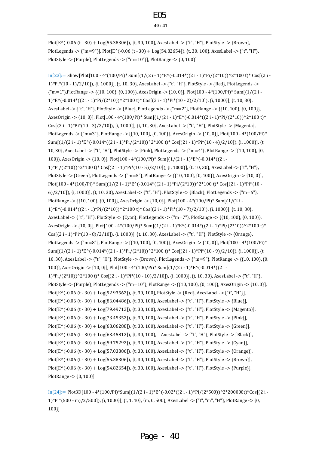Plot[E^(-0.06 (t - 30) + Log[55.38306]), {t, 30, 100}, AxesLabel -> {"t", "H"}, PlotStyle -> {Brown}, PlotLegends -> {"m=9"}], Plot[E^(-0.06 (t - 30) + Log[54.82654]), {t, 30, 100}, AxesLabel -> {"t", "H"}, PlotStyle -> {Purple}, PlotLegends -> {"m=10"}], PlotRange -> {0, 100}]

In[23]:= Show[Plot[100 - 4\*(100/Pi)\* Sum[(1/(2 i - 1)\*E^(-0.014\*((2 i - 1)\*Pi/(2\*10))^2\*100 t)\* Cos[(2 i - 1)\*Pi\*(10 - 1)/2/10]), {i, 1000}], {t, 10, 30}, AxesLabel -> {"t", "H"}, PlotStyle -> {Red}, PlotLegends -> {"m=1"},PlotRange -> {{10, 100}, {0, 100}}, AxesOrigin -> {10, 0}], Plot[100 - 4\*(100/Pi)\* Sum[(1/(2 i - 1)\*E^(-0.014\*((2 i - 1)\*Pi/(2\*10))^2\*100 t)\* Cos[(2 i - 1)\*Pi\*(10 - 2)/2/10]), {i, 1000}], {t, 10, 30}, AxesLabel -> {"t", "H"}, PlotStyle -> {Blue}, PlotLegends -> {"m=2"}, PlotRange -> {{10, 100}, {0, 100}}, AxesOrigin -> {10, 0}], Plot[100 - 4\*(100/Pi)\* Sum[(1/(2 i - 1)\*E^(-0.014\*((2 i - 1)\*Pi/(2\*10))^2\*100 t)\* Cos[(2 i - 1)\*Pi\*(10 - 3)/2/10]), {i, 1000}], {t, 10, 30}, AxesLabel -> {"t", "H"}, PlotStyle -> {Magenta}, PlotLegends -> {"m=3"}, PlotRange -> {{10, 100}, {0, 100}}, AxesOrigin -> {10, 0}], Plot[100 - 4\*(100/Pi)\* Sum[ $(1/(2 i - 1)*E^(0.014*((2 i - 1)*Pi/(2*10))^2*100 t)*Cos[(2 i - 1)*Pi*(10 - 4)/2/10]),$  {i, 1000}], {t, 10, 30}, AxesLabel -> {"t", "H"}, PlotStyle -> {Pink}, PlotLegends -> {"m=4"}, PlotRange -> {{10, 100}, {0, 100}}, AxesOrigin -> {10, 0}], Plot[100 - 4\*(100/Pi)\* Sum[(1/(2 i - 1)\*E^(-0.014\*((2 i - 1)\*Pi/(2\*10))^2\*100 t)\* Cos[(2 i - 1)\*Pi\*(10 - 5)/2/10]), {i, 1000}], {t, 10, 30}, AxesLabel -> {"t", "H"}, PlotStyle -> {Green}, PlotLegends -> {"m=5"}, PlotRange -> {{10, 100}, {0, 100}}, AxesOrigin -> {10, 0}], Plot[100 - 4\*(100/Pi)\* Sum[(1/(2 i - 1)\*E^(-0.014\*((2 i - 1)\*Pi/(2\*10))^2\*100 t)\* Cos[(2 i - 1)\*Pi\*(10 -6)/2/10]), {i, 1000}], {t, 10, 30}, AxesLabel -> {"t", "H"}, PlotStyle -> {Black}, PlotLegends -> {"m=6"}, PlotRange -> {{10, 100}, {0, 100}}, AxesOrigin -> {10, 0}], Plot[100 - 4\*(100/Pi)\* Sum[(1/(2 i - 1)\*E^(-0.014\*((2 i - 1)\*Pi/(2\*10))^2\*100 t)\* Cos[(2 i - 1)\*Pi\*(10 - 7)/2/10]), {i, 1000}], {t, 10, 30}, AxesLabel -> {"t", "H"}, PlotStyle -> {Cyan}, PlotLegends -> {"m=7"}, PlotRange -> {{10, 100}, {0, 100}}, AxesOrigin -> {10, 0}], Plot[100 - 4\*(100/Pi)\* Sum[ $(1/(2 i - 1)*E^(-0.014*((2 i - 1)*Pi/(2*10))^2*100 t)*$ Cos[(2 i - 1)\*Pi\*(10 - 8)/2/10]), {i, 1000}], {t, 10, 30}, AxesLabel -> {"t", "H"}, PlotStyle -> {Orange}, PlotLegends -> {"m=8"}, PlotRange -> {{10, 100}, {0, 100}}, AxesOrigin -> {10, 0}], Plot[100 - 4\*(100/Pi)\* Sum[ $(1/(2 i - 1)*E<sup>*</sup>(-0.014<sup>*</sup>((2 i - 1)*Pi/(2*10))<sup>*</sup>2*100 t)*Cos[(2 i - 1)*Pi*(10 - 9)/2/10]),$  {i, 1000}], {t, 10, 30}, AxesLabel -> {"t", "H"}, PlotStyle -> {Brown}, PlotLegends -> {"m=9"}, PlotRange -> {{10, 100}, {0, 100}}, AxesOrigin -> {10, 0}], Plot[100 - 4\*(100/Pi)\* Sum[(1/(2 i - 1)\*E^(-0.014\*((2 i - 1)\*Pi/(2\*10))^2\*100 t)\* Cos[(2 i - 1)\*Pi\*(10 - 10)/2/10]), {i, 1000}], {t, 10, 30}, AxesLabel -> {"t", "H"}, PlotStyle -> {Purple}, PlotLegends -> {"m=10"}, PlotRange -> {{10, 100}, {0, 100}}, AxesOrigin -> {10, 0}], Plot[E^(-0.06 (t - 30) + Log[92.93562]), {t, 30, 100}, PlotStyle -> {Red}, AxesLabel -> {"t", "H"}], Plot[E^(-0.06 (t - 30) + Log[86.04486]), {t, 30, 100}, AxesLabel -> {"t", "H"}, PlotStyle -> {Blue}], Plot[E^(-0.06 (t - 30) + Log[79.49712]), {t, 30, 100}, AxesLabel -> {"t", "H"}, PlotStyle -> {Magenta}], Plot[E^(-0.06 (t - 30) + Log[73.45352]), {t, 30, 100}, AxesLabel -> {"t", "H"}, PlotStyle -> {Pink}], Plot[E^(-0.06 (t - 30) + Log[68.06288]), {t, 30, 100}, AxesLabel -> {"t", "H"}, PlotStyle -> {Green}], Plot[E^(-0.06 (t - 30) + Log[63.45812]), {t, 30, 100}, AxesLabel -> {"t", "H"}, PlotStyle -> {Black}], Plot[E^(-0.06 (t - 30) + Log[59.75292]), {t, 30, 100}, AxesLabel -> {"t", "H"}, PlotStyle -> {Cyan}], Plot[E^(-0.06 (t - 30) + Log[57.03886]), {t, 30, 100}, AxesLabel -> {"t", "H"}, PlotStyle -> {Orange}], Plot[E^(-0.06 (t - 30) + Log[55.38306]), {t, 30, 100}, AxesLabel -> {"t", "H"}, PlotStyle -> {Brown}], Plot[E^(-0.06 (t - 30) + Log[54.82654]), {t, 30, 100}, AxesLabel -> {"t", "H"}, PlotStyle -> {Purple}], PlotRange -> {0, 100}]

 $\text{In}[24]:=\text{Plot3D}[100 - 4*(100/\text{Pi})^* \text{Sum}[(1/(2 i - 1)^* \text{E}^*(-0.02*((2 i - 1)^* \text{Pi}/(2^* 500))^{\wedge}2^* 200000t)^* \text{Cos}[(2 i - 1)^* \text{E}^*(-0.02*((2 i - 1)^* \text{E}^*(-0.02))$ 1)\*Pi\*(500 - m)/2/500]), {i, 1000}], {t, 1, 10}, {m, 0, 500}, AxesLabel -> {"t", "m", "H"}, PlotRange -> {0, 100}]